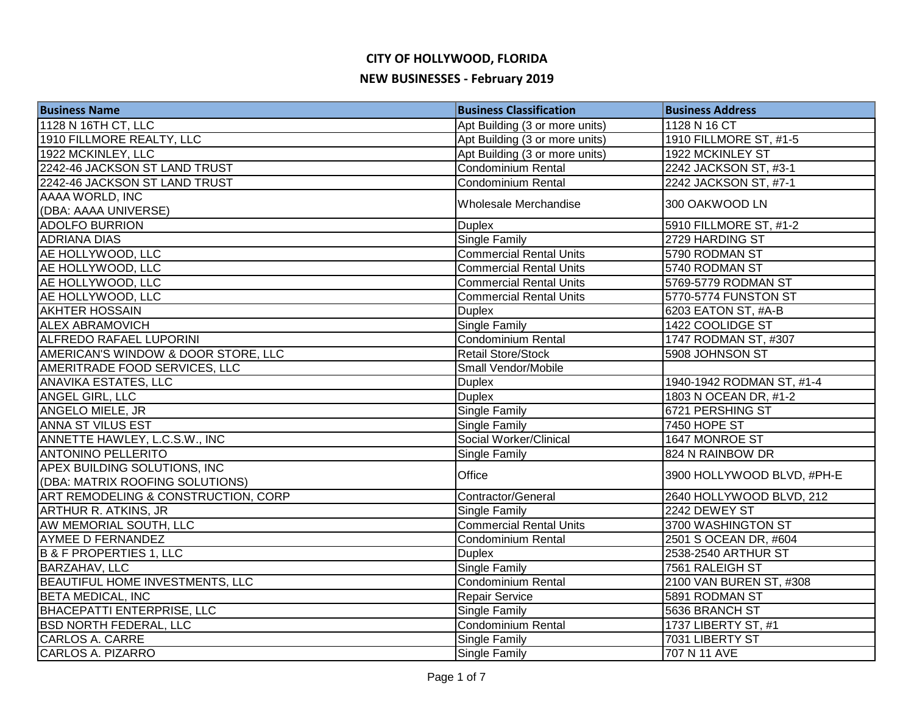## **CITY OF HOLLYWOOD, FLORIDA**

#### **NEW BUSINESSES - February 2019**

| <b>Business Name</b>                   | <b>Business Classification</b> | <b>Business Address</b>    |
|----------------------------------------|--------------------------------|----------------------------|
| 1128 N 16TH CT, LLC                    | Apt Building (3 or more units) | 1128 N 16 CT               |
| 1910 FILLMORE REALTY, LLC              | Apt Building (3 or more units) | 1910 FILLMORE ST, #1-5     |
| 1922 MCKINLEY, LLC                     | Apt Building (3 or more units) | 1922 MCKINLEY ST           |
| 2242-46 JACKSON ST LAND TRUST          | <b>Condominium Rental</b>      | 2242 JACKSON ST, #3-1      |
| 2242-46 JACKSON ST LAND TRUST          | <b>Condominium Rental</b>      | 2242 JACKSON ST, #7-1      |
| AAAA WORLD, INC                        | Wholesale Merchandise          | 300 OAKWOOD LN             |
| (DBA: AAAA UNIVERSE)                   |                                |                            |
| <b>ADOLFO BURRION</b>                  | <b>Duplex</b>                  | 5910 FILLMORE ST, #1-2     |
| <b>ADRIANA DIAS</b>                    | <b>Single Family</b>           | 2729 HARDING ST            |
| AE HOLLYWOOD, LLC                      | <b>Commercial Rental Units</b> | 5790 RODMAN ST             |
| AE HOLLYWOOD, LLC                      | <b>Commercial Rental Units</b> | 5740 RODMAN ST             |
| AE HOLLYWOOD, LLC                      | <b>Commercial Rental Units</b> | 5769-5779 RODMAN ST        |
| AE HOLLYWOOD, LLC                      | <b>Commercial Rental Units</b> | 5770-5774 FUNSTON ST       |
| <b>AKHTER HOSSAIN</b>                  | <b>Duplex</b>                  | 6203 EATON ST, #A-B        |
| <b>ALEX ABRAMOVICH</b>                 | <b>Single Family</b>           | 1422 COOLIDGE ST           |
| <b>ALFREDO RAFAEL LUPORINI</b>         | Condominium Rental             | 1747 RODMAN ST, #307       |
| AMERICAN'S WINDOW & DOOR STORE, LLC    | <b>Retail Store/Stock</b>      | 5908 JOHNSON ST            |
| AMERITRADE FOOD SERVICES, LLC          | Small Vendor/Mobile            |                            |
| <b>ANAVIKA ESTATES, LLC</b>            | <b>Duplex</b>                  | 1940-1942 RODMAN ST, #1-4  |
| ANGEL GIRL, LLC                        | <b>Duplex</b>                  | 1803 N OCEAN DR, #1-2      |
| ANGELO MIELE, JR                       | <b>Single Family</b>           | 6721 PERSHING ST           |
| ANNA ST VILUS EST                      | <b>Single Family</b>           | <b>7450 HOPE ST</b>        |
| ANNETTE HAWLEY, L.C.S.W., INC          | Social Worker/Clinical         | 1647 MONROE ST             |
| <b>ANTONINO PELLERITO</b>              | Single Family                  | 824 N RAINBOW DR           |
| APEX BUILDING SOLUTIONS, INC           | Office                         | 3900 HOLLYWOOD BLVD, #PH-E |
| (DBA: MATRIX ROOFING SOLUTIONS)        |                                |                            |
| ART REMODELING & CONSTRUCTION, CORP    | Contractor/General             | 2640 HOLLYWOOD BLVD, 212   |
| <b>ARTHUR R. ATKINS, JR</b>            | <b>Single Family</b>           | 2242 DEWEY ST              |
| AW MEMORIAL SOUTH, LLC                 | <b>Commercial Rental Units</b> | 3700 WASHINGTON ST         |
| <b>AYMEE D FERNANDEZ</b>               | Condominium Rental             | 2501 S OCEAN DR, #604      |
| <b>B &amp; F PROPERTIES 1, LLC</b>     | <b>Duplex</b>                  | 2538-2540 ARTHUR ST        |
| <b>BARZAHAV, LLC</b>                   | <b>Single Family</b>           | 7561 RALEIGH ST            |
| <b>BEAUTIFUL HOME INVESTMENTS, LLC</b> | <b>Condominium Rental</b>      | 2100 VAN BUREN ST, #308    |
| <b>BETA MEDICAL, INC</b>               | Repair Service                 | 5891 RODMAN ST             |
| <b>BHACEPATTI ENTERPRISE, LLC</b>      | <b>Single Family</b>           | 5636 BRANCH ST             |
| <b>BSD NORTH FEDERAL, LLC</b>          | Condominium Rental             | 1737 LIBERTY ST, #1        |
| <b>CARLOS A. CARRE</b>                 | <b>Single Family</b>           | 7031 LIBERTY ST            |
| <b>CARLOS A. PIZARRO</b>               | <b>Single Family</b>           | 707 N 11 AVE               |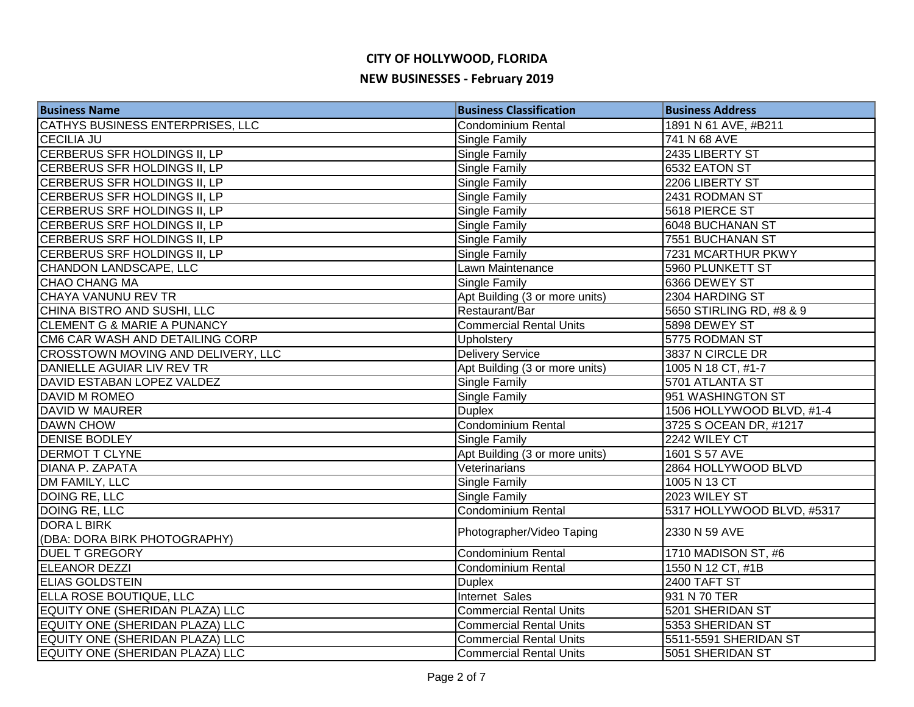| <b>Business Name</b>                   | <b>Business Classification</b> | <b>Business Address</b>    |
|----------------------------------------|--------------------------------|----------------------------|
| CATHYS BUSINESS ENTERPRISES, LLC       | Condominium Rental             | 1891 N 61 AVE, #B211       |
| <b>CECILIA JU</b>                      | Single Family                  | 741 N 68 AVE               |
| CERBERUS SFR HOLDINGS II, LP           | Single Family                  | 2435 LIBERTY ST            |
| CERBERUS SFR HOLDINGS II, LP           | Single Family                  | 6532 EATON ST              |
| CERBERUS SFR HOLDINGS II, LP           | Single Family                  | 2206 LIBERTY ST            |
| CERBERUS SFR HOLDINGS II, LP           | Single Family                  | 2431 RODMAN ST             |
| CERBERUS SRF HOLDINGS II, LP           | Single Family                  | 5618 PIERCE ST             |
| CERBERUS SRF HOLDINGS II, LP           | Single Family                  | 6048 BUCHANAN ST           |
| CERBERUS SRF HOLDINGS II, LP           | Single Family                  | 7551 BUCHANAN ST           |
| CERBERUS SRF HOLDINGS II, LP           | Single Family                  | 7231 MCARTHUR PKWY         |
| CHANDON LANDSCAPE, LLC                 | Lawn Maintenance               | 5960 PLUNKETT ST           |
| CHAO CHANG MA                          | Single Family                  | 6366 DEWEY ST              |
| CHAYA VANUNU REV TR                    | Apt Building (3 or more units) | 2304 HARDING ST            |
| CHINA BISTRO AND SUSHI, LLC            | Restaurant/Bar                 | 5650 STIRLING RD, #8 & 9   |
| <b>CLEMENT G &amp; MARIE A PUNANCY</b> | <b>Commercial Rental Units</b> | 5898 DEWEY ST              |
| CM6 CAR WASH AND DETAILING CORP        | Upholstery                     | 5775 RODMAN ST             |
| CROSSTOWN MOVING AND DELIVERY, LLC     | <b>Delivery Service</b>        | 3837 N CIRCLE DR           |
| DANIELLE AGUIAR LIV REV TR             | Apt Building (3 or more units) | 1005 N 18 CT, #1-7         |
| DAVID ESTABAN LOPEZ VALDEZ             | <b>Single Family</b>           | 5701 ATLANTA ST            |
| DAVID M ROMEO                          | Single Family                  | 951 WASHINGTON ST          |
| DAVID W MAURER                         | <b>Duplex</b>                  | 1506 HOLLYWOOD BLVD, #1-4  |
| <b>DAWN CHOW</b>                       | Condominium Rental             | 3725 S OCEAN DR, #1217     |
| <b>DENISE BODLEY</b>                   | Single Family                  | 2242 WILEY CT              |
| <b>DERMOT T CLYNE</b>                  | Apt Building (3 or more units) | 1601 S 57 AVE              |
| DIANA P. ZAPATA                        | Veterinarians                  | 2864 HOLLYWOOD BLVD        |
| DM FAMILY, LLC                         | Single Family                  | 1005 N 13 CT               |
| DOING RE, LLC                          | <b>Single Family</b>           | 2023 WILEY ST              |
| <b>DOING RE, LLC</b>                   | <b>Condominium Rental</b>      | 5317 HOLLYWOOD BLVD, #5317 |
| <b>DORAL BIRK</b>                      | Photographer/Video Taping      | 2330 N 59 AVE              |
| (DBA: DORA BIRK PHOTOGRAPHY)           |                                |                            |
| <b>DUEL T GREGORY</b>                  | Condominium Rental             | 1710 MADISON ST, #6        |
| <b>ELEANOR DEZZI</b>                   | <b>Condominium Rental</b>      | 1550 N 12 CT, #1B          |
| <b>ELIAS GOLDSTEIN</b>                 | <b>Duplex</b>                  | 2400 TAFT ST               |
| ELLA ROSE BOUTIQUE, LLC                | Internet Sales                 | 931 N 70 TER               |
| EQUITY ONE (SHERIDAN PLAZA) LLC        | <b>Commercial Rental Units</b> | 5201 SHERIDAN ST           |
| EQUITY ONE (SHERIDAN PLAZA) LLC        | <b>Commercial Rental Units</b> | 5353 SHERIDAN ST           |
| EQUITY ONE (SHERIDAN PLAZA) LLC        | <b>Commercial Rental Units</b> | 5511-5591 SHERIDAN ST      |
| EQUITY ONE (SHERIDAN PLAZA) LLC        | <b>Commercial Rental Units</b> | 5051 SHERIDAN ST           |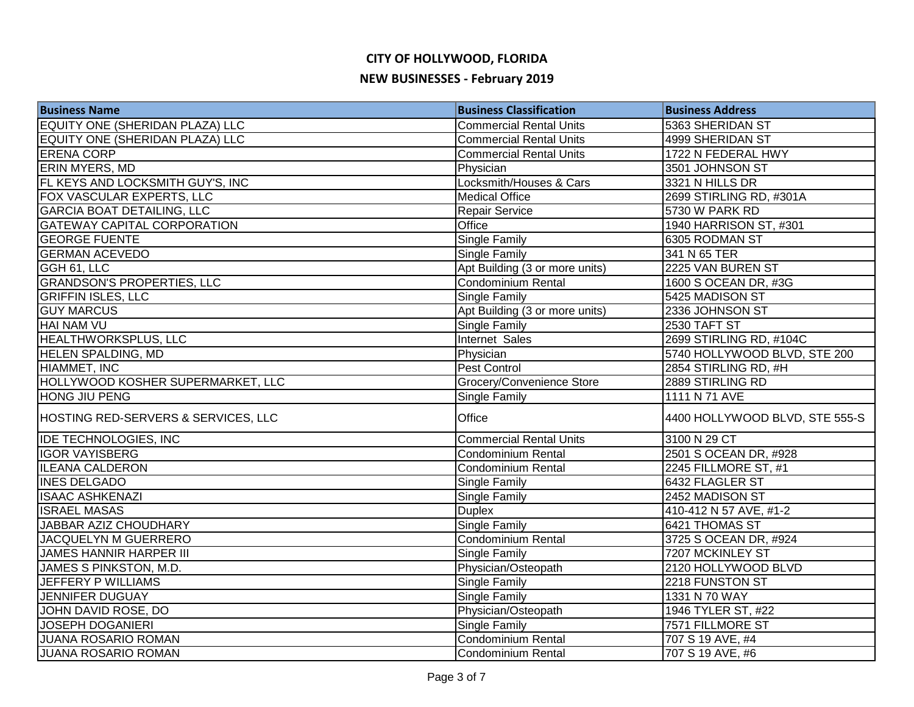| <b>Business Name</b>                | <b>Business Classification</b> | <b>Business Address</b>        |
|-------------------------------------|--------------------------------|--------------------------------|
| EQUITY ONE (SHERIDAN PLAZA) LLC     | <b>Commercial Rental Units</b> | 5363 SHERIDAN ST               |
| EQUITY ONE (SHERIDAN PLAZA) LLC     | <b>Commercial Rental Units</b> | 4999 SHERIDAN ST               |
| <b>ERENA CORP</b>                   | <b>Commercial Rental Units</b> | 1722 N FEDERAL HWY             |
| <b>ERIN MYERS, MD</b>               | Physician                      | 3501 JOHNSON ST                |
| FL KEYS AND LOCKSMITH GUY'S, INC    | Locksmith/Houses & Cars        | 3321 N HILLS DR                |
| FOX VASCULAR EXPERTS, LLC           | <b>Medical Office</b>          | 2699 STIRLING RD, #301A        |
| <b>GARCIA BOAT DETAILING, LLC</b>   | <b>Repair Service</b>          | 5730 W PARK RD                 |
| <b>GATEWAY CAPITAL CORPORATION</b>  | Office                         | 1940 HARRISON ST, #301         |
| <b>GEORGE FUENTE</b>                | Single Family                  | 6305 RODMAN ST                 |
| <b>GERMAN ACEVEDO</b>               | <b>Single Family</b>           | 341 N 65 TER                   |
| GGH 61, LLC                         | Apt Building (3 or more units) | 2225 VAN BUREN ST              |
| <b>GRANDSON'S PROPERTIES, LLC</b>   | <b>Condominium Rental</b>      | 1600 S OCEAN DR, #3G           |
| <b>GRIFFIN ISLES, LLC</b>           | Single Family                  | 5425 MADISON ST                |
| <b>GUY MARCUS</b>                   | Apt Building (3 or more units) | 2336 JOHNSON ST                |
| HAI NAM VU                          | Single Family                  | 2530 TAFT ST                   |
| HEALTHWORKSPLUS, LLC                | Internet Sales                 | 2699 STIRLING RD, #104C        |
| <b>HELEN SPALDING, MD</b>           | Physician                      | 5740 HOLLYWOOD BLVD, STE 200   |
| HIAMMET, INC                        | Pest Control                   | 2854 STIRLING RD, #H           |
| HOLLYWOOD KOSHER SUPERMARKET, LLC   | Grocery/Convenience Store      | 2889 STIRLING RD               |
| HONG JIU PENG                       | Single Family                  | 1111 N 71 AVE                  |
| HOSTING RED-SERVERS & SERVICES, LLC | Office                         | 4400 HOLLYWOOD BLVD, STE 555-S |
| <b>IDE TECHNOLOGIES, INC</b>        | <b>Commercial Rental Units</b> | 3100 N 29 CT                   |
| <b>IGOR VAYISBERG</b>               | <b>Condominium Rental</b>      | 2501 S OCEAN DR, #928          |
| <b>ILEANA CALDERON</b>              | <b>Condominium Rental</b>      | 2245 FILLMORE ST, #1           |
| <b>INES DELGADO</b>                 | Single Family                  | 6432 FLAGLER ST                |
| <b>ISAAC ASHKENAZI</b>              | Single Family                  | 2452 MADISON ST                |
| <b>ISRAEL MASAS</b>                 | <b>Duplex</b>                  | 410-412 N 57 AVE, #1-2         |
| JABBAR AZIZ CHOUDHARY               | <b>Single Family</b>           | 6421 THOMAS ST                 |
| JACQUELYN M GUERRERO                | <b>Condominium Rental</b>      | 3725 S OCEAN DR, #924          |
| JAMES HANNIR HARPER III             | Single Family                  | 7207 MCKINLEY ST               |
| <b>JAMES S PINKSTON, M.D.</b>       | Physician/Osteopath            | 2120 HOLLYWOOD BLVD            |
| JEFFERY P WILLIAMS                  | <b>Single Family</b>           | 2218 FUNSTON ST                |
| <b>JENNIFER DUGUAY</b>              | Single Family                  | 1331 N 70 WAY                  |
| JOHN DAVID ROSE, DO                 | Physician/Osteopath            | 1946 TYLER ST, #22             |
| <b>JOSEPH DOGANIERI</b>             | <b>Single Family</b>           | 7571 FILLMORE ST               |
| <b>JUANA ROSARIO ROMAN</b>          | <b>Condominium Rental</b>      | 707 S 19 AVE, #4               |
| <b>JUANA ROSARIO ROMAN</b>          | Condominium Rental             | 707 S 19 AVE, #6               |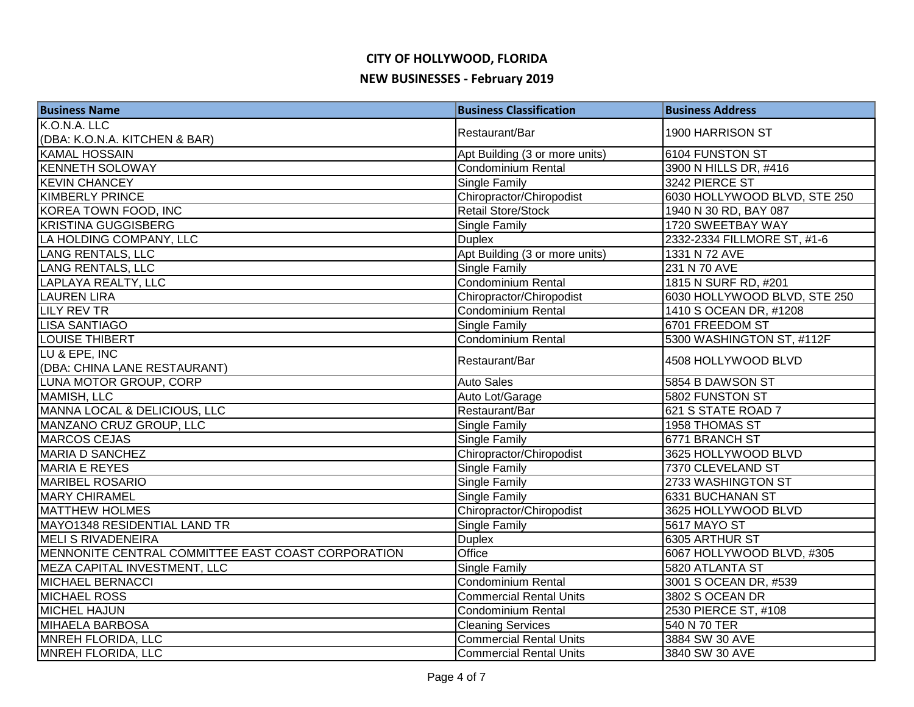| <b>Business Name</b>                               | <b>Business Classification</b> | <b>Business Address</b>      |
|----------------------------------------------------|--------------------------------|------------------------------|
| K.O.N.A. LLC                                       | Restaurant/Bar                 | 1900 HARRISON ST             |
| (DBA: K.O.N.A. KITCHEN & BAR)                      |                                |                              |
| <b>KAMAL HOSSAIN</b>                               | Apt Building (3 or more units) | 6104 FUNSTON ST              |
| <b>KENNETH SOLOWAY</b>                             | <b>Condominium Rental</b>      | 3900 N HILLS DR, #416        |
| <b>KEVIN CHANCEY</b>                               | <b>Single Family</b>           | 3242 PIERCE ST               |
| <b>KIMBERLY PRINCE</b>                             | Chiropractor/Chiropodist       | 6030 HOLLYWOOD BLVD, STE 250 |
| <b>KOREA TOWN FOOD, INC</b>                        | <b>Retail Store/Stock</b>      | 1940 N 30 RD, BAY 087        |
| <b>KRISTINA GUGGISBERG</b>                         | <b>Single Family</b>           | 1720 SWEETBAY WAY            |
| LA HOLDING COMPANY, LLC                            | <b>Duplex</b>                  | 2332-2334 FILLMORE ST, #1-6  |
| <b>LANG RENTALS, LLC</b>                           | Apt Building (3 or more units) | 1331 N 72 AVE                |
| LANG RENTALS, LLC                                  | <b>Single Family</b>           | 231 N 70 AVE                 |
| LAPLAYA REALTY, LLC                                | Condominium Rental             | 1815 N SURF RD, #201         |
| <b>LAUREN LIRA</b>                                 | Chiropractor/Chiropodist       | 6030 HOLLYWOOD BLVD, STE 250 |
| <b>LILY REV TR</b>                                 | <b>Condominium Rental</b>      | 1410 S OCEAN DR, #1208       |
| <b>LISA SANTIAGO</b>                               | Single Family                  | 6701 FREEDOM ST              |
| LOUISE THIBERT                                     | Condominium Rental             | 5300 WASHINGTON ST, #112F    |
| LU & EPE, INC                                      | Restaurant/Bar                 |                              |
| (DBA: CHINA LANE RESTAURANT)                       |                                | 4508 HOLLYWOOD BLVD          |
| LUNA MOTOR GROUP, CORP                             | <b>Auto Sales</b>              | 5854 B DAWSON ST             |
| <b>MAMISH, LLC</b>                                 | Auto Lot/Garage                | 5802 FUNSTON ST              |
| MANNA LOCAL & DELICIOUS, LLC                       | Restaurant/Bar                 | 621 S STATE ROAD 7           |
| MANZANO CRUZ GROUP, LLC                            | Single Family                  | 1958 THOMAS ST               |
| MARCOS CEJAS                                       | Single Family                  | 6771 BRANCH ST               |
| <b>MARIA D SANCHEZ</b>                             | Chiropractor/Chiropodist       | 3625 HOLLYWOOD BLVD          |
| <b>MARIA E REYES</b>                               | Single Family                  | 7370 CLEVELAND ST            |
| <b>MARIBEL ROSARIO</b>                             | <b>Single Family</b>           | 2733 WASHINGTON ST           |
| <b>MARY CHIRAMEL</b>                               | <b>Single Family</b>           | 6331 BUCHANAN ST             |
| <b>MATTHEW HOLMES</b>                              | Chiropractor/Chiropodist       | 3625 HOLLYWOOD BLVD          |
| MAYO1348 RESIDENTIAL LAND TR                       | <b>Single Family</b>           | <b>5617 MAYO ST</b>          |
| MELI S RIVADENEIRA                                 | <b>Duplex</b>                  | 6305 ARTHUR ST               |
| MENNONITE CENTRAL COMMITTEE EAST COAST CORPORATION | Office                         | 6067 HOLLYWOOD BLVD, #305    |
| MEZA CAPITAL INVESTMENT, LLC                       | Single Family                  | 5820 ATLANTA ST              |
| <b>MICHAEL BERNACCI</b>                            | <b>Condominium Rental</b>      | 3001 S OCEAN DR, #539        |
| <b>MICHAEL ROSS</b>                                | <b>Commercial Rental Units</b> | 3802 S OCEAN DR              |
| <b>MICHEL HAJUN</b>                                | <b>Condominium Rental</b>      | 2530 PIERCE ST, #108         |
| <b>MIHAELA BARBOSA</b>                             | <b>Cleaning Services</b>       | 540 N 70 TER                 |
| <b>MNREH FLORIDA, LLC</b>                          | <b>Commercial Rental Units</b> | 3884 SW 30 AVE               |
| <b>MNREH FLORIDA, LLC</b>                          | <b>Commercial Rental Units</b> | 3840 SW 30 AVE               |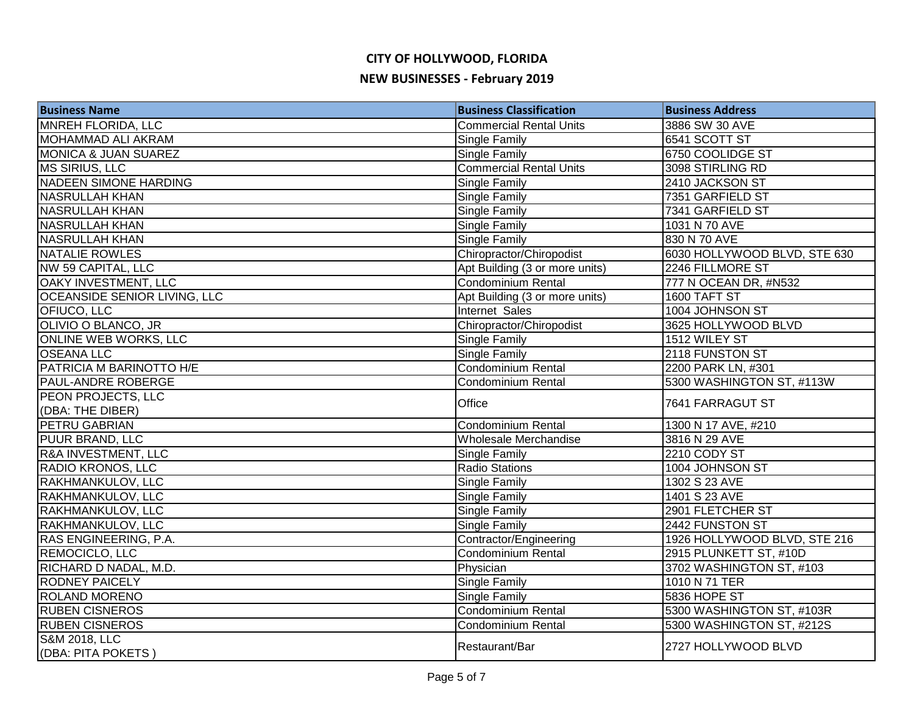| <b>Business Name</b>            | <b>Business Classification</b> | <b>Business Address</b>      |
|---------------------------------|--------------------------------|------------------------------|
| MNREH FLORIDA, LLC              | <b>Commercial Rental Units</b> | 3886 SW 30 AVE               |
| MOHAMMAD ALI AKRAM              | <b>Single Family</b>           | 6541 SCOTT ST                |
| <b>MONICA &amp; JUAN SUAREZ</b> | Single Family                  | 6750 COOLIDGE ST             |
| MS SIRIUS, LLC                  | <b>Commercial Rental Units</b> | 3098 STIRLING RD             |
| <b>NADEEN SIMONE HARDING</b>    | <b>Single Family</b>           | 2410 JACKSON ST              |
| <b>NASRULLAH KHAN</b>           | Single Family                  | 7351 GARFIELD ST             |
| <b>NASRULLAH KHAN</b>           | <b>Single Family</b>           | 7341 GARFIELD ST             |
| <b>NASRULLAH KHAN</b>           | Single Family                  | 1031 N 70 AVE                |
| <b>NASRULLAH KHAN</b>           | <b>Single Family</b>           | 830 N 70 AVE                 |
| NATALIE ROWLES                  | Chiropractor/Chiropodist       | 6030 HOLLYWOOD BLVD, STE 630 |
| NW 59 CAPITAL, LLC              | Apt Building (3 or more units) | 2246 FILLMORE ST             |
| OAKY INVESTMENT, LLC            | Condominium Rental             | 777 N OCEAN DR, #N532        |
| OCEANSIDE SENIOR LIVING, LLC    | Apt Building (3 or more units) | 1600 TAFT ST                 |
| OFIUCO, LLC                     | Internet Sales                 | 1004 JOHNSON ST              |
| OLIVIO O BLANCO, JR             | Chiropractor/Chiropodist       | 3625 HOLLYWOOD BLVD          |
| ONLINE WEB WORKS, LLC           | <b>Single Family</b>           | 1512 WILEY ST                |
| <b>OSEANA LLC</b>               | <b>Single Family</b>           | 2118 FUNSTON ST              |
| PATRICIA M BARINOTTO H/E        | Condominium Rental             | 2200 PARK LN, #301           |
| <b>PAUL-ANDRE ROBERGE</b>       | Condominium Rental             | 5300 WASHINGTON ST, #113W    |
| PEON PROJECTS, LLC              | Office                         | 7641 FARRAGUT ST             |
| (DBA: THE DIBER)                |                                |                              |
| PETRU GABRIAN                   | <b>Condominium Rental</b>      | 1300 N 17 AVE, #210          |
| PUUR BRAND, LLC                 | Wholesale Merchandise          | 3816 N 29 AVE                |
| R&A INVESTMENT, LLC             | Single Family                  | 2210 CODY ST                 |
| <b>RADIO KRONOS, LLC</b>        | <b>Radio Stations</b>          | 1004 JOHNSON ST              |
| RAKHMANKULOV, LLC               | <b>Single Family</b>           | 1302 S 23 AVE                |
| RAKHMANKULOV, LLC               | <b>Single Family</b>           | 1401 S 23 AVE                |
| RAKHMANKULOV, LLC               | <b>Single Family</b>           | 2901 FLETCHER ST             |
| RAKHMANKULOV, LLC               | <b>Single Family</b>           | 2442 FUNSTON ST              |
| RAS ENGINEERING, P.A.           | Contractor/Engineering         | 1926 HOLLYWOOD BLVD, STE 216 |
| REMOCICLO, LLC                  | Condominium Rental             | 2915 PLUNKETT ST, #10D       |
| RICHARD D NADAL, M.D.           | Physician                      | 3702 WASHINGTON ST, #103     |
| <b>RODNEY PAICELY</b>           | Single Family                  | 1010 N 71 TER                |
| <b>ROLAND MORENO</b>            | <b>Single Family</b>           | 5836 HOPE ST                 |
| <b>RUBEN CISNEROS</b>           | Condominium Rental             | 5300 WASHINGTON ST, #103R    |
| <b>RUBEN CISNEROS</b>           | Condominium Rental             | 5300 WASHINGTON ST, #212S    |
| <b>S&amp;M 2018, LLC</b>        | Restaurant/Bar                 | 2727 HOLLYWOOD BLVD          |
| (DBA: PITA POKETS)              |                                |                              |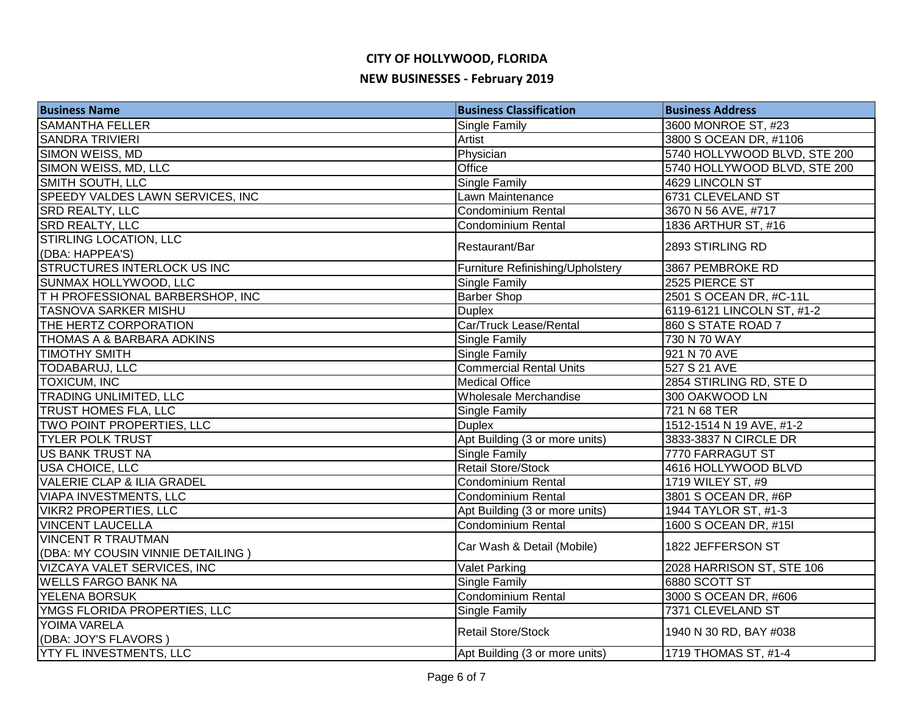| <b>Business Name</b>                   | <b>Business Classification</b>   | <b>Business Address</b>      |
|----------------------------------------|----------------------------------|------------------------------|
| <b>SAMANTHA FELLER</b>                 | Single Family                    | 3600 MONROE ST, #23          |
| <b>SANDRA TRIVIERI</b>                 | Artist                           | 3800 S OCEAN DR, #1106       |
| SIMON WEISS, MD                        | Physician                        | 5740 HOLLYWOOD BLVD, STE 200 |
| SIMON WEISS, MD, LLC                   | Office                           | 5740 HOLLYWOOD BLVD, STE 200 |
| <b>SMITH SOUTH, LLC</b>                | <b>Single Family</b>             | 4629 LINCOLN ST              |
| SPEEDY VALDES LAWN SERVICES, INC       | Lawn Maintenance                 | 6731 CLEVELAND ST            |
| <b>SRD REALTY, LLC</b>                 | Condominium Rental               | 3670 N 56 AVE, #717          |
| <b>SRD REALTY, LLC</b>                 | Condominium Rental               | 1836 ARTHUR ST, #16          |
| STIRLING LOCATION, LLC                 | Restaurant/Bar                   | 2893 STIRLING RD             |
| (DBA: HAPPEA'S)                        |                                  |                              |
| <b>STRUCTURES INTERLOCK US INC</b>     | Furniture Refinishing/Upholstery | 3867 PEMBROKE RD             |
| SUNMAX HOLLYWOOD, LLC                  | Single Family                    | 2525 PIERCE ST               |
| <b>TH PROFESSIONAL BARBERSHOP, INC</b> | <b>Barber Shop</b>               | 2501 S OCEAN DR, #C-11L      |
| <b>TASNOVA SARKER MISHU</b>            | <b>Duplex</b>                    | 6119-6121 LINCOLN ST, #1-2   |
| THE HERTZ CORPORATION                  | Car/Truck Lease/Rental           | 860 S STATE ROAD 7           |
| <b>THOMAS A &amp; BARBARA ADKINS</b>   | <b>Single Family</b>             | 730 N 70 WAY                 |
| <b>TIMOTHY SMITH</b>                   | <b>Single Family</b>             | 921 N 70 AVE                 |
| TODABARUJ, LLC                         | <b>Commercial Rental Units</b>   | 527 S 21 AVE                 |
| <b>TOXICUM, INC</b>                    | <b>Medical Office</b>            | 2854 STIRLING RD, STE D      |
| <b>TRADING UNLIMITED, LLC</b>          | Wholesale Merchandise            | 300 OAKWOOD LN               |
| TRUST HOMES FLA, LLC                   | Single Family                    | 721 N 68 TER                 |
| TWO POINT PROPERTIES, LLC              | <b>Duplex</b>                    | 1512-1514 N 19 AVE, #1-2     |
| <b>TYLER POLK TRUST</b>                | Apt Building (3 or more units)   | 3833-3837 N CIRCLE DR        |
| <b>US BANK TRUST NA</b>                | <b>Single Family</b>             | 7770 FARRAGUT ST             |
| <b>USA CHOICE, LLC</b>                 | <b>Retail Store/Stock</b>        | 4616 HOLLYWOOD BLVD          |
| <b>VALERIE CLAP &amp; ILIA GRADEL</b>  | Condominium Rental               | 1719 WILEY ST, #9            |
| <b>VIAPA INVESTMENTS, LLC</b>          | Condominium Rental               | 3801 S OCEAN DR, #6P         |
| <b>VIKR2 PROPERTIES, LLC</b>           | Apt Building (3 or more units)   | 1944 TAYLOR ST, #1-3         |
| <b>VINCENT LAUCELLA</b>                | <b>Condominium Rental</b>        | 1600 S OCEAN DR, #15I        |
| <b>VINCENT R TRAUTMAN</b>              | Car Wash & Detail (Mobile)       | 1822 JEFFERSON ST            |
| (DBA: MY COUSIN VINNIE DETAILING)      |                                  |                              |
| VIZCAYA VALET SERVICES, INC            | <b>Valet Parking</b>             | 2028 HARRISON ST, STE 106    |
| <b>WELLS FARGO BANK NA</b>             | Single Family                    | 6880 SCOTT ST                |
| YELENA BORSUK                          | <b>Condominium Rental</b>        | 3000 S OCEAN DR, #606        |
| YMGS FLORIDA PROPERTIES, LLC           | <b>Single Family</b>             | 7371 CLEVELAND ST            |
| YOIMA VARELA                           | <b>Retail Store/Stock</b>        | 1940 N 30 RD, BAY #038       |
| (DBA: JOY'S FLAVORS)                   |                                  |                              |
| <b>YTY FL INVESTMENTS, LLC</b>         | Apt Building (3 or more units)   | 1719 THOMAS ST, #1-4         |